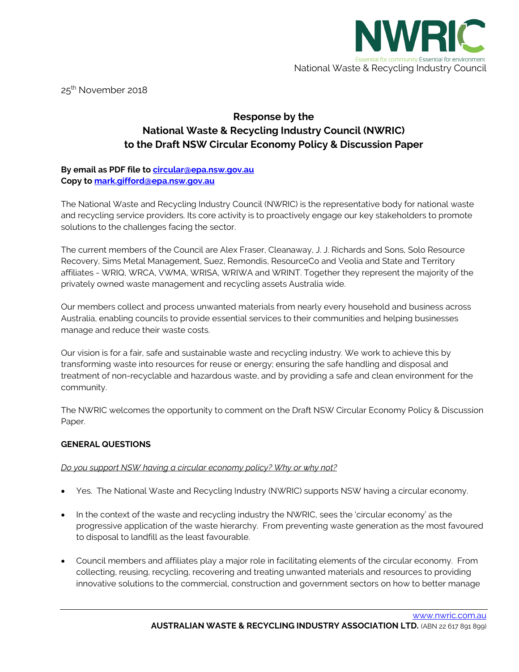

25<sup>th</sup> November 2018

# **Response by the National Waste & Recycling Industry Council (NWRIC) to the Draft NSW Circular Economy Policy & Discussion Paper**

# **By email as PDF file t[o circular@epa.nsw.gov.au](mailto:circular@epa.nsw.gov.au) Copy to [mark.gifford@epa.nsw.gov.au](mailto:mark.gifford@epa.nsw.gov.au)**

The National Waste and Recycling Industry Council (NWRIC) is the representative body for national waste and recycling service providers. Its core activity is to proactively engage our key stakeholders to promote solutions to the challenges facing the sector.

The current members of the Council are Alex Fraser, Cleanaway, J. J. Richards and Sons, Solo Resource Recovery, Sims Metal Management, Suez, Remondis, ResourceCo and Veolia and State and Territory affiliates - WRIQ, WRCA, VWMA, WRISA, WRIWA and WRINT. Together they represent the majority of the privately owned waste management and recycling assets Australia wide.

Our members collect and process unwanted materials from nearly every household and business across Australia, enabling councils to provide essential services to their communities and helping businesses manage and reduce their waste costs.

Our vision is for a fair, safe and sustainable waste and recycling industry. We work to achieve this by transforming waste into resources for reuse or energy; ensuring the safe handling and disposal and treatment of non-recyclable and hazardous waste, and by providing a safe and clean environment for the community.

The NWRIC welcomes the opportunity to comment on the Draft NSW Circular Economy Policy & Discussion Paper.

# **GENERAL QUESTIONS**

### *Do you support NSW having a circular economy policy? Why or why not?*

- Yes. The National Waste and Recycling Industry (NWRIC) supports NSW having a circular economy.
- In the context of the waste and recycling industry the NWRIC, sees the 'circular economy' as the progressive application of the waste hierarchy. From preventing waste generation as the most favoured to disposal to landfill as the least favourable.
- Council members and affiliates play a major role in facilitating elements of the circular economy. From collecting, reusing, recycling, recovering and treating unwanted materials and resources to providing innovative solutions to the commercial, construction and government sectors on how to better manage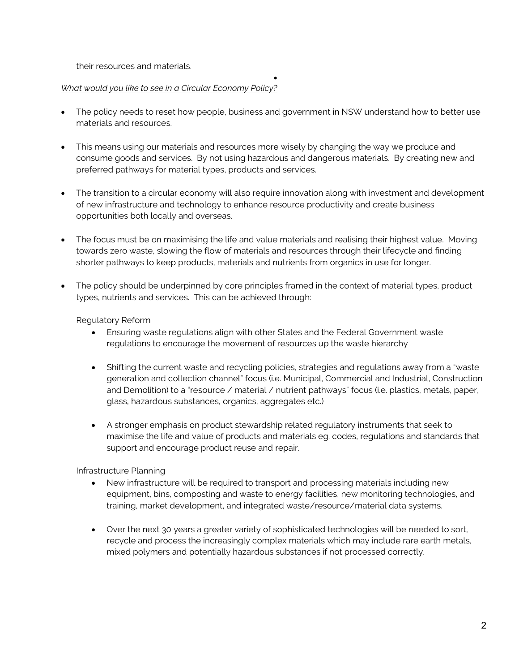their resources and materials.

# *What would you like to see in a Circular Economy Policy?*

• The policy needs to reset how people, business and government in NSW understand how to better use materials and resources.

•

- This means using our materials and resources more wisely by changing the way we produce and consume goods and services. By not using hazardous and dangerous materials. By creating new and preferred pathways for material types, products and services.
- The transition to a circular economy will also require innovation along with investment and development of new infrastructure and technology to enhance resource productivity and create business opportunities both locally and overseas.
- The focus must be on maximising the life and value materials and realising their highest value. Moving towards zero waste, slowing the flow of materials and resources through their lifecycle and finding shorter pathways to keep products, materials and nutrients from organics in use for longer.
- The policy should be underpinned by core principles framed in the context of material types, product types, nutrients and services. This can be achieved through:

# Regulatory Reform

- Ensuring waste regulations align with other States and the Federal Government waste regulations to encourage the movement of resources up the waste hierarchy
- Shifting the current waste and recycling policies, strategies and regulations away from a "waste generation and collection channel" focus (i.e. Municipal, Commercial and Industrial, Construction and Demolition) to a "resource / material / nutrient pathways" focus (i.e. plastics, metals, paper, glass, hazardous substances, organics, aggregates etc.)
- A stronger emphasis on product stewardship related regulatory instruments that seek to maximise the life and value of products and materials eg. codes, regulations and standards that support and encourage product reuse and repair.

Infrastructure Planning

- New infrastructure will be required to transport and processing materials including new equipment, bins, composting and waste to energy facilities, new monitoring technologies, and training, market development, and integrated waste/resource/material data systems.
- Over the next 30 years a greater variety of sophisticated technologies will be needed to sort, recycle and process the increasingly complex materials which may include rare earth metals, mixed polymers and potentially hazardous substances if not processed correctly.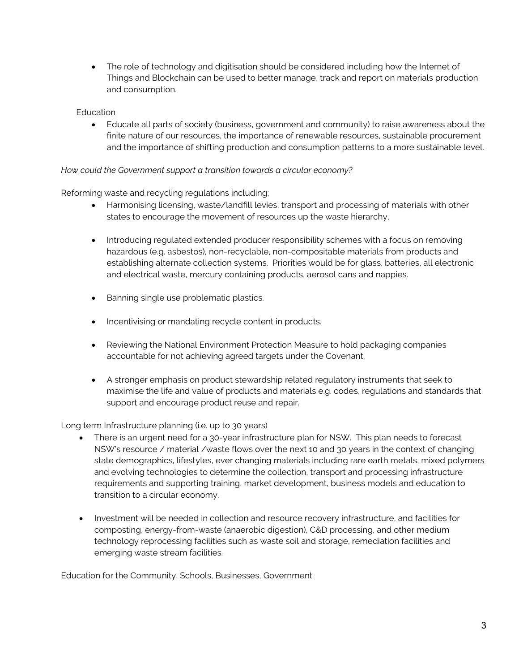• The role of technology and digitisation should be considered including how the Internet of Things and Blockchain can be used to better manage, track and report on materials production and consumption.

### **Education**

• Educate all parts of society (business, government and community) to raise awareness about the finite nature of our resources, the importance of renewable resources, sustainable procurement and the importance of shifting production and consumption patterns to a more sustainable level.

### *How could the Government support a transition towards a circular economy?*

Reforming waste and recycling regulations including;

- Harmonising licensing, waste/landfill levies, transport and processing of materials with other states to encourage the movement of resources up the waste hierarchy,
- Introducing regulated extended producer responsibility schemes with a focus on removing hazardous (e.g. asbestos), non-recyclable, non-compositable materials from products and establishing alternate collection systems. Priorities would be for glass, batteries, all electronic and electrical waste, mercury containing products, aerosol cans and nappies.
- Banning single use problematic plastics.
- Incentivising or mandating recycle content in products.
- Reviewing the National Environment Protection Measure to hold packaging companies accountable for not achieving agreed targets under the Covenant.
- A stronger emphasis on product stewardship related regulatory instruments that seek to maximise the life and value of products and materials e.g. codes, regulations and standards that support and encourage product reuse and repair.

### Long term Infrastructure planning (i.e. up to 30 years)

- There is an urgent need for a 30-year infrastructure plan for NSW. This plan needs to forecast NSW's resource / material /waste flows over the next 10 and 30 years in the context of changing state demographics, lifestyles, ever changing materials including rare earth metals, mixed polymers and evolving technologies to determine the collection, transport and processing infrastructure requirements and supporting training, market development, business models and education to transition to a circular economy.
- Investment will be needed in collection and resource recovery infrastructure, and facilities for composting, energy-from-waste (anaerobic digestion), C&D processing, and other medium technology reprocessing facilities such as waste soil and storage, remediation facilities and emerging waste stream facilities.

Education for the Community, Schools, Businesses, Government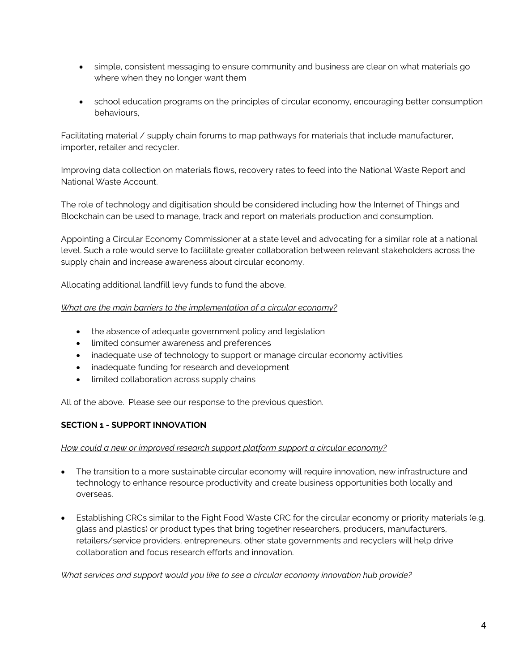- simple, consistent messaging to ensure community and business are clear on what materials go where when they no longer want them
- school education programs on the principles of circular economy, encouraging better consumption behaviours,

Facilitating material / supply chain forums to map pathways for materials that include manufacturer, importer, retailer and recycler.

Improving data collection on materials flows, recovery rates to feed into the National Waste Report and National Waste Account.

The role of technology and digitisation should be considered including how the Internet of Things and Blockchain can be used to manage, track and report on materials production and consumption.

Appointing a Circular Economy Commissioner at a state level and advocating for a similar role at a national level. Such a role would serve to facilitate greater collaboration between relevant stakeholders across the supply chain and increase awareness about circular economy.

Allocating additional landfill levy funds to fund the above.

### *What are the main barriers to the implementation of a circular economy?*

- the absence of adequate government policy and legislation
- limited consumer awareness and preferences
- inadequate use of technology to support or manage circular economy activities
- inadequate funding for research and development
- limited collaboration across supply chains

All of the above. Please see our response to the previous question.

# **SECTION 1 - SUPPORT INNOVATION**

### *How could a new or improved research support platform support a circular economy?*

- The transition to a more sustainable circular economy will require innovation, new infrastructure and technology to enhance resource productivity and create business opportunities both locally and overseas.
- Establishing CRCs similar to the Fight Food Waste CRC for the circular economy or priority materials (e.g. glass and plastics) or product types that bring together researchers, producers, manufacturers, retailers/service providers, entrepreneurs, other state governments and recyclers will help drive collaboration and focus research efforts and innovation.

### *What services and support would you like to see a circular economy innovation hub provide?*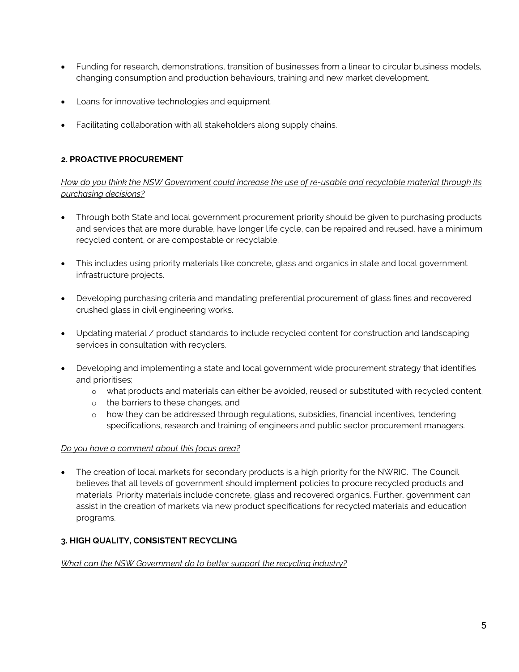- Funding for research, demonstrations, transition of businesses from a linear to circular business models, changing consumption and production behaviours, training and new market development.
- Loans for innovative technologies and equipment.
- Facilitating collaboration with all stakeholders along supply chains.

# **2. PROACTIVE PROCUREMENT**

*How do you think the NSW Government could increase the use of re-usable and recyclable material through its purchasing decisions?* 

- Through both State and local government procurement priority should be given to purchasing products and services that are more durable, have longer life cycle, can be repaired and reused, have a minimum recycled content, or are compostable or recyclable.
- This includes using priority materials like concrete, glass and organics in state and local government infrastructure projects.
- Developing purchasing criteria and mandating preferential procurement of glass fines and recovered crushed glass in civil engineering works.
- Updating material / product standards to include recycled content for construction and landscaping services in consultation with recyclers.
- Developing and implementing a state and local government wide procurement strategy that identifies and prioritises;
	- o what products and materials can either be avoided, reused or substituted with recycled content,
	- o the barriers to these changes, and
	- o how they can be addressed through regulations, subsidies, financial incentives, tendering specifications, research and training of engineers and public sector procurement managers.

# *Do you have a comment about this focus area?*

• The creation of local markets for secondary products is a high priority for the NWRIC. The Council believes that all levels of government should implement policies to procure recycled products and materials. Priority materials include concrete, glass and recovered organics. Further, government can assist in the creation of markets via new product specifications for recycled materials and education programs.

# **3. HIGH QUALITY, CONSISTENT RECYCLING**

### *What can the NSW Government do to better support the recycling industry?*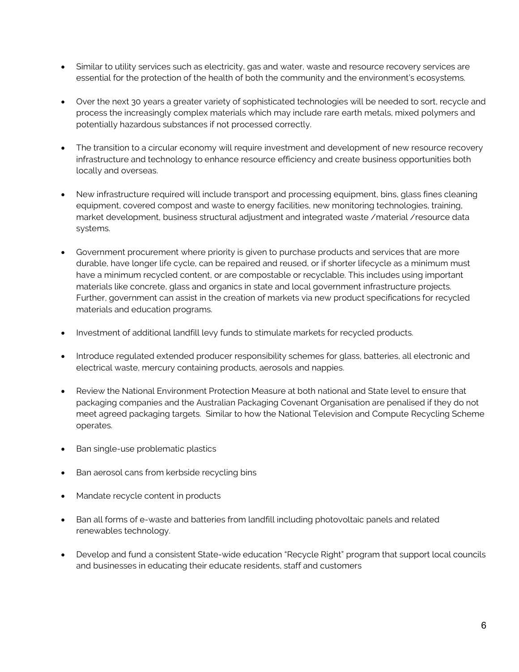- Similar to utility services such as electricity, gas and water, waste and resource recovery services are essential for the protection of the health of both the community and the environment's ecosystems.
- Over the next 30 years a greater variety of sophisticated technologies will be needed to sort, recycle and process the increasingly complex materials which may include rare earth metals, mixed polymers and potentially hazardous substances if not processed correctly.
- The transition to a circular economy will require investment and development of new resource recovery infrastructure and technology to enhance resource efficiency and create business opportunities both locally and overseas.
- New infrastructure required will include transport and processing equipment, bins, glass fines cleaning equipment, covered compost and waste to energy facilities, new monitoring technologies, training, market development, business structural adjustment and integrated waste /material /resource data systems.
- Government procurement where priority is given to purchase products and services that are more durable, have longer life cycle, can be repaired and reused, or if shorter lifecycle as a minimum must have a minimum recycled content, or are compostable or recyclable. This includes using important materials like concrete, glass and organics in state and local government infrastructure projects. Further, government can assist in the creation of markets via new product specifications for recycled materials and education programs.
- Investment of additional landfill levy funds to stimulate markets for recycled products.
- Introduce regulated extended producer responsibility schemes for glass, batteries, all electronic and electrical waste, mercury containing products, aerosols and nappies.
- Review the National Environment Protection Measure at both national and State level to ensure that packaging companies and the Australian Packaging Covenant Organisation are penalised if they do not meet agreed packaging targets. Similar to how the National Television and Compute Recycling Scheme operates.
- Ban single-use problematic plastics
- Ban aerosol cans from kerbside recycling bins
- Mandate recycle content in products
- Ban all forms of e-waste and batteries from landfill including photovoltaic panels and related renewables technology.
- Develop and fund a consistent State-wide education "Recycle Right" program that support local councils and businesses in educating their educate residents, staff and customers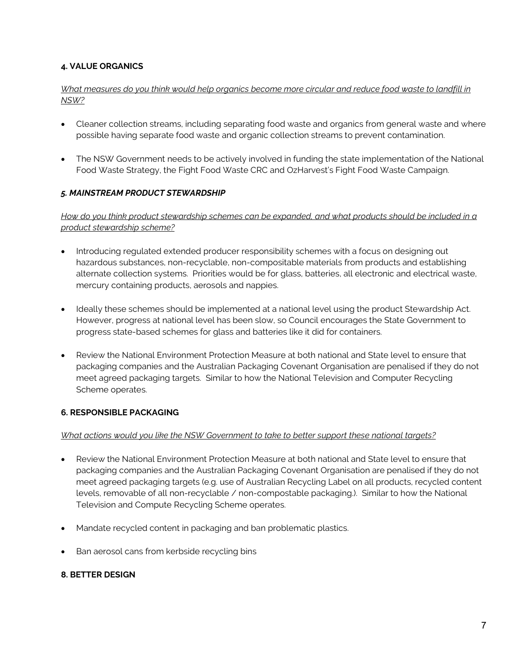# **4. VALUE ORGANICS**

# *What measures do you think would help organics become more circular and reduce food waste to landfill in NSW?*

- Cleaner collection streams, including separating food waste and organics from general waste and where possible having separate food waste and organic collection streams to prevent contamination.
- The NSW Government needs to be actively involved in funding the state implementation of the National Food Waste Strategy, the Fight Food Waste CRC and OzHarvest's Fight Food Waste Campaign.

# *5. MAINSTREAM PRODUCT STEWARDSHIP*

*How do you think product stewardship schemes can be expanded, and what products should be included in a product stewardship scheme?* 

- Introducing regulated extended producer responsibility schemes with a focus on designing out hazardous substances, non-recyclable, non-compositable materials from products and establishing alternate collection systems. Priorities would be for glass, batteries, all electronic and electrical waste, mercury containing products, aerosols and nappies.
- Ideally these schemes should be implemented at a national level using the product Stewardship Act. However, progress at national level has been slow, so Council encourages the State Government to progress state-based schemes for glass and batteries like it did for containers.
- Review the National Environment Protection Measure at both national and State level to ensure that packaging companies and the Australian Packaging Covenant Organisation are penalised if they do not meet agreed packaging targets. Similar to how the National Television and Computer Recycling Scheme operates.

# **6. RESPONSIBLE PACKAGING**

# *What actions would you like the NSW Government to take to better support these national targets?*

- Review the National Environment Protection Measure at both national and State level to ensure that packaging companies and the Australian Packaging Covenant Organisation are penalised if they do not meet agreed packaging targets (e.g. use of Australian Recycling Label on all products, recycled content levels, removable of all non-recyclable / non-compostable packaging.). Similar to how the National Television and Compute Recycling Scheme operates.
- Mandate recycled content in packaging and ban problematic plastics.
- Ban aerosol cans from kerbside recycling bins

# **8. BETTER DESIGN**